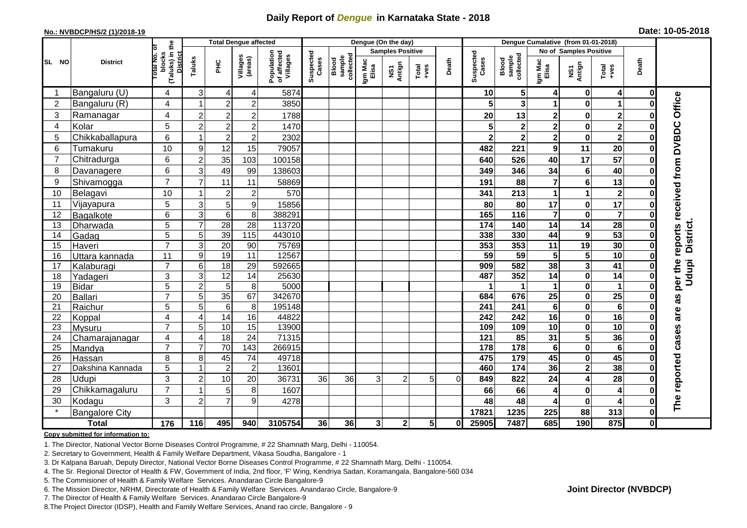## **Daily Report of** *Dengue* **in Karnataka State - 2018**

#### **No.: NVBDCP/HS/2 (1)/2018-19**

| Date: 10-05-2018 |  |  |  |  |  |  |
|------------------|--|--|--|--|--|--|
|------------------|--|--|--|--|--|--|

|                |                            |                                                              | <b>Total Dengue affected</b> |                     |                     |                                       | Dengue (On the day) |                              |                  |                         |                                                              |          |                         | Dengue Cumalative (from 01-01-2018) |                            |                            |                         |              |                             |
|----------------|----------------------------|--------------------------------------------------------------|------------------------------|---------------------|---------------------|---------------------------------------|---------------------|------------------------------|------------------|-------------------------|--------------------------------------------------------------|----------|-------------------------|-------------------------------------|----------------------------|----------------------------|-------------------------|--------------|-----------------------------|
|                |                            |                                                              |                              |                     |                     |                                       |                     |                              |                  | <b>Samples Positive</b> |                                                              |          |                         |                                     | No of Samples Positive     |                            |                         |              |                             |
| SL NO          | <b>District</b>            | (Taluks) in the<br>Total No. of<br>blocks<br><b>District</b> | Taluks                       | <b>PHC</b>          | Villages<br>(areas) | Population<br>of affected<br>Villages | Suspected<br>Cases  | collected<br>sample<br>Blood | Igm Mac<br>Elisa | NS1<br>Antign           | $\begin{array}{c}\n\text{Total} \\ \text{Area}\n\end{array}$ | Death    | Suspected<br>Cases      | sample<br>collected<br>Blood        | Igm Mac<br>Elisa           | NS1<br>Antign              | Total<br>+ves           | Death        |                             |
|                | Bangaluru (U)              | 4                                                            | 3                            | 4                   | 4                   | 5874                                  |                     |                              |                  |                         |                                                              |          | 10                      | $5\phantom{.0}$                     | 4                          | 0                          | 4                       | 0            |                             |
| $\overline{2}$ | Bangaluru (R)              | 4                                                            |                              | $\overline{2}$      | $\overline{2}$      | 3850                                  |                     |                              |                  |                         |                                                              |          | 5                       | $\overline{\mathbf{3}}$             | 1                          | $\bf{0}$                   | 1                       |              |                             |
| 3              | Ramanagar                  | 4                                                            | $\overline{c}$               | $\overline{2}$      | $\overline{2}$      | 1788                                  |                     |                              |                  |                         |                                                              |          | 20                      | 13                                  | $\mathbf 2$                | 0                          | $\mathbf 2$             |              | Office                      |
| $\overline{4}$ | Kolar                      | 5                                                            | $\overline{2}$               | $\overline{2}$      | $\overline{2}$      | 1470                                  |                     |                              |                  |                         |                                                              |          | 5                       | $\bf{2}$                            | $\overline{2}$             | $\bf{0}$                   | $\overline{\mathbf{2}}$ |              |                             |
| 5              | Chikkaballapura            | 6                                                            |                              | $\overline{c}$      | $\overline{c}$      | 2302                                  |                     |                              |                  |                         |                                                              |          | $\overline{\mathbf{2}}$ | $\overline{\mathbf{2}}$             | $\overline{\mathbf{2}}$    | $\bf{0}$                   | $\overline{2}$          |              |                             |
| 6              | Tumakuru                   | 10                                                           | 9                            | 12                  | 15                  | 79057                                 |                     |                              |                  |                         |                                                              |          | 482                     | 221                                 | $\boldsymbol{9}$           | 11                         | 20                      |              |                             |
| $\overline{7}$ | Chitradurga                | 6                                                            | $\overline{2}$               | 35                  | 103                 | 100158                                |                     |                              |                  |                         |                                                              |          | 640                     | 526                                 | 40                         | $\overline{17}$            | $\overline{57}$         |              |                             |
| 8              | Davanagere                 | 6                                                            | 3                            | 49                  | 99                  | 138603                                |                     |                              |                  |                         |                                                              |          | 349                     | 346                                 | 34                         | $6\phantom{1}6$            | 40                      |              |                             |
| 9              | Shivamogga                 | $\overline{7}$                                               |                              | 11                  | 11                  | 58869                                 |                     |                              |                  |                         |                                                              |          | 191                     | 88                                  | $\overline{7}$             | 6                          | 13                      |              |                             |
| 10             | Belagavi                   | 10                                                           |                              | $\overline{2}$      | $\overline{c}$      | 570                                   |                     |                              |                  |                         |                                                              |          | 341                     | 213                                 | $\mathbf{1}$               | 1                          | $\mathbf{2}$            |              | reports received from DVBDC |
| 11             | Vijayapura                 | 5                                                            | 3                            | 5                   | 9                   | 15856                                 |                     |                              |                  |                         |                                                              |          | 80                      | 80                                  | 17                         | 0                          | 17                      |              |                             |
| 12             | Bagalkote                  | 6                                                            | 3                            | $6 \mid$            | 8                   | 388291                                |                     |                              |                  |                         |                                                              |          | 165                     | $\frac{116}{116}$                   | $\overline{\mathbf{7}}$    | $\mathbf 0$                | $\overline{\mathbf{7}}$ |              |                             |
| 13             | Dharwada                   | 5                                                            | $\overline{7}$               | $\overline{28}$     | $\overline{28}$     | 113720                                |                     |                              |                  |                         |                                                              |          | 174                     | 140                                 | $\overline{14}$            | 14                         | $\overline{28}$         |              |                             |
| 14             | Gadag                      | $\overline{5}$                                               | 5                            | 39                  | $\frac{115}{115}$   | 443010                                |                     |                              |                  |                         |                                                              |          | 338                     | 330                                 | 44                         | 9                          | 53                      |              | District.                   |
| 15             | Haveri                     | $\overline{7}$                                               | 3                            | 20                  | 90                  | 75769                                 |                     |                              |                  |                         |                                                              |          | 353                     | 353                                 | 11                         | 19                         | 30                      | 0            |                             |
| 16             | Uttara kannada             | 11                                                           | 9                            | 19                  | $\overline{11}$     | 12567                                 |                     |                              |                  |                         |                                                              |          | 59                      | 59                                  | 5                          | 5                          | 10                      |              |                             |
| 17             | Kalaburagi                 | $\overline{7}$                                               | 6                            | $\frac{1}{8}$       | 29                  | 592665                                |                     |                              |                  |                         |                                                              |          | 909                     | 582                                 | 38                         | $\overline{\mathbf{3}}$    | 41                      |              | per the<br>Udupi            |
| 18             | Yadageri                   | 3                                                            | 3                            | $\overline{12}$     | 14                  | 25630                                 |                     |                              |                  |                         |                                                              |          | 487                     | 352                                 | 14                         | $\mathbf 0$                | $\overline{14}$         |              |                             |
| 19             | <b>Bidar</b>               | 5                                                            | 2                            | $5\phantom{.0}$     | 8                   | 5000                                  |                     |                              |                  |                         |                                                              |          |                         | $\mathbf 1$                         | 1                          | 0                          | 1                       | 0            |                             |
| 20             | Ballari                    | $\overline{7}$                                               | 5                            | 35                  | 67                  | 342670                                |                     |                              |                  |                         |                                                              |          | 684                     | 676                                 | $\overline{25}$            | $\mathbf 0$                | $\overline{25}$         |              | as                          |
| 21             | Raichur                    | 5                                                            | 5                            | $6\phantom{1}$      | 8                   | 195148                                |                     |                              |                  |                         |                                                              |          | 241                     | 241                                 | $\bf 6$                    | 0                          | $\bf 6$                 |              | are                         |
| 22             | Koppal                     | 4                                                            | 4                            | 14                  | 16                  | 44822                                 |                     |                              |                  |                         |                                                              |          | 242                     | 242                                 | 16                         | $\bf{0}$                   | 16                      |              |                             |
| 23             | Mysuru                     | $\overline{7}$                                               | 5                            | 10                  | 15                  | 13900                                 |                     |                              |                  |                         |                                                              |          | 109                     | 109                                 | $\overline{10}$            | $\mathbf 0$                | 10                      | 0            |                             |
| 24<br>25       | Chamarajanagar             | 4<br>$\overline{7}$                                          | 4                            | $\frac{1}{8}$<br>70 | 24<br>143           | 71315<br>266915                       |                     |                              |                  |                         |                                                              |          | 121<br>178              | 85<br>178                           | $\overline{31}$<br>$\bf 6$ | $5\phantom{a}$<br>$\bf{0}$ | 36<br>$6\phantom{1}$    | 0            | cases                       |
| 26             | Mandya                     | 8                                                            | 8                            | 45                  | $\overline{74}$     | 49718                                 |                     |                              |                  |                         |                                                              |          | 475                     | 179                                 | 45                         | $\pmb{0}$                  | 45                      |              |                             |
| 27             | Hassan<br>Dakshina Kannada | $\overline{5}$                                               |                              | $\overline{2}$      | $\overline{c}$      | 13601                                 |                     |                              |                  |                         |                                                              |          | 460                     | $\overline{174}$                    | 36                         | $\overline{\mathbf{2}}$    | 38                      | 0            |                             |
| 28             | <b>Udupi</b>               | 3                                                            | $\overline{2}$               | 10                  | 20                  | 36731                                 | 36                  | 36                           | 3                | $\overline{2}$          | 5                                                            | $\Omega$ | 849                     | 822                                 | 24                         | 4                          | 28                      | 0            |                             |
| 29             | Chikkamagaluru             | $\overline{7}$                                               |                              | 5                   | 8                   | 1607                                  |                     |                              |                  |                         |                                                              |          | 66                      | 66                                  | 4                          | $\bf{0}$                   | 4                       |              | reported                    |
| 30             |                            | 3                                                            | $\overline{2}$               | $\overline{7}$      | 9                   | 4278                                  |                     |                              |                  |                         |                                                              |          | 48                      | 48                                  | 4                          | $\bf{0}$                   | 4                       |              |                             |
| $\star$        | Kodagu                     |                                                              |                              |                     |                     |                                       |                     |                              |                  |                         |                                                              |          | 17821                   | 1235                                | 225                        | 88                         | 313                     | 0            | The                         |
|                | <b>Bangalore City</b>      |                                                              |                              |                     |                     |                                       |                     |                              |                  |                         |                                                              |          |                         |                                     |                            |                            |                         |              |                             |
|                | <b>Total</b>               | $\frac{1}{176}$                                              | 116                          | 495                 | 940                 | 3105754                               | 36                  | 36                           | $\mathbf{3}$     | $\mathbf{2}$            | 5 <sup>1</sup>                                               | 0        | 25905                   | 7487                                | 685                        | 190                        | 875                     | $\mathbf{0}$ |                             |

#### **Copy submitted for information to:**

1. The Director, National Vector Borne Diseases Control Programme, # 22 Shamnath Marg, Delhi - 110054.

2. Secretary to Government, Health & Family Welfare Department, Vikasa Soudha, Bangalore - 1

3. Dr Kalpana Baruah, Deputy Director, National Vector Borne Diseases Control Programme, # 22 Shamnath Marg, Delhi - 110054.

4. The Sr. Regional Director of Health & FW, Government of India, 2nd floor, 'F' Wing, Kendriya Sadan, Koramangala, Bangalore-560 034

5. The Commisioner of Health & Family Welfare Services. Anandarao Circle Bangalore-9

6. The Mission Director, NRHM, Directorate of Health & Family Welfare Services. Anandarao Circle, Bangalore-9

7. The Director of Health & Family Welfare Services. Anandarao Circle Bangalore-9

8.The Project Director (IDSP), Health and Family Welfare Services, Anand rao circle, Bangalore - 9